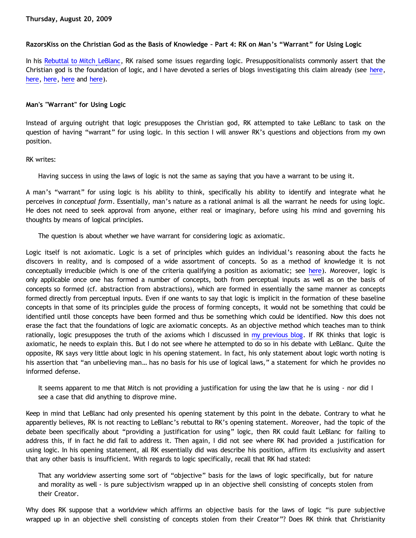# **RazorsKiss on the Christian God as the Basis of Knowledge – Part 4: RK on Man's "Warrant" for Using Logic**

In his [Rebuttal to Mitch LeBlanc,](http://razorskiss.net/wp/2009/08/08/debate-transcript/) RK raised some issues regarding logic. Presuppositionalists commonly assert that the Christian god is the foundation of logic, and I have devoted a series of blogs investigating this claim already (see [here](http://bahnsenburner.blogspot.com/2009/06/does-logic-presuppose-christian-god.html), [here,](http://bahnsenburner.blogspot.com/2009/07/does-logic-presuppose-christian-god.html) [here](http://bahnsenburner.blogspot.com/2009/07/does-logic-presuppose-christian-god_04.html), [here](http://bahnsenburner.blogspot.com/2009/07/does-logic-presuppose-christian-god_06.html) and [here\)](http://bahnsenburner.blogspot.com/2009/07/does-logic-presuppose-christian-god_08.html).

## **Man's "Warrant" for Using Logic**

Instead of arguing outright that logic presupposes the Christian god, RK attempted to take LeBlanc to task on the question of having "warrant" for using logic. In this section I will answer RK's questions and objections from my own position.

#### RK writes:

Having success in using the laws of logic is not the same as saying that you have a warrant to be using it.

A man's "warrant" for using logic is his ability to think, specifically his ability to identify and integrate what he perceives *in conceptual form*. Essentially, man's nature as a rational animal is all the warrant he needs for using logic. He does not need to seek approval from anyone, either real or imaginary, before using his mind and governing his thoughts by means of logical principles.

The question is about whether we have warrant for considering logic as axiomatic.

Logic itself is not axiomatic. Logic is a set of principles which guides an individual's reasoning about the facts he discovers in reality, and is composed of a wide assortment of concepts. So as a method of knowledge it is not conceptually irreducible (which is one of the criteria qualifying a position as axiomatic; see [here](http://bahnsenburner.blogspot.com/2009/08/razorskiss-on-christian-god-as-basis-of_18.html)). Moreover, logic is only applicable once one has formed a number of concepts, both from perceptual inputs as well as on the basis of concepts so formed (cf. abstraction from abstractions), which are formed in essentially the same manner as concepts formed directly from perceptual inputs. Even if one wants to say that logic is implicit in the formation of these baseline concepts in that some of its principles guide the process of forming concepts, it would not be something that could be identified until those concepts have been formed and thus be something which could be identified. Now this does not erase the fact that the foundations of logic are axiomatic concepts. As an objective method which teaches man to think rationally, logic presupposes the truth of the axioms which I discussed in [my previous blog](http://bahnsenburner.blogspot.com/2009/08/razorskiss-on-christian-god-as-basis-of_18.html). If RK thinks that logic is axiomatic, he needs to explain this. But I do not see where he attempted to do so in his debate with LeBlanc. Quite the opposite, RK says very little about logic in his opening statement. In fact, his only statement about logic worth noting is his assertion that "an unbelieving man… has no basis for his use of logical laws," a statement for which he provides no informed defense.

It seems apparent to me that Mitch is not providing a justification for using the law that he is using - nor did I see a case that did anything to disprove mine.

Keep in mind that LeBlanc had only presented his opening statement by this point in the debate. Contrary to what he apparently believes, RK is not reacting to LeBlanc's rebuttal to RK's opening statement. Moreover, had the topic of the debate been specifically about "providing a justification for using" logic, then RK could fault LeBlanc for failing to address this, if in fact he did fail to address it. Then again, I did not see where RK had provided a justification for using logic. In his opening statement, all RK essentially did was describe his position, affirm its exclusivity and assert that any other basis is insufficient. With regards to logic specifically, recall that RK had stated:

That any worldview asserting some sort of "objective" basis for the laws of logic specifically, but for nature and morality as well - is pure subjectivism wrapped up in an objective shell consisting of concepts stolen from their Creator.

Why does RK suppose that a worldview which affirms an objective basis for the laws of logic "is pure subjective wrapped up in an objective shell consisting of concepts stolen from their Creator"? Does RK think that Christianity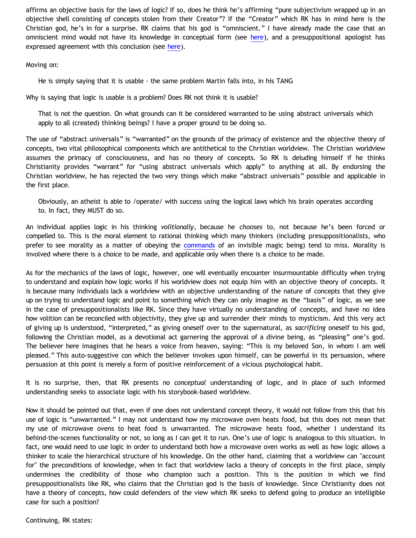affirms an objective basis for the laws of logic? If so, does he think he's affirming "pure subjectivism wrapped up in an objective shell consisting of concepts stolen from their Creator"? If the "Creator" which RK has in mind here is the Christian god, he's in for a surprise. RK claims that his god is "omniscient." I have already made the case that an omniscient mind would not have its knowledge in conceptual form (see [here](http://bahnsenburner.blogspot.com/2007/04/would-omniscient-mind-have-knowledge-in.html)), and a presuppositional apologist has expressed agreement with this conclusion (see [here](http://bahnsenburner.blogspot.com/2007/04/pike-on-concepts-and-omniscience.html)).

Moving on:

He is simply saying that it is usable - the same problem Martin falls into, in his TANG

Why is saying that logic is usable is a problem? Does RK not think it is usable?

That is not the question. On what grounds can it be considered warranted to be using abstract universals which apply to all (created) thinking beings? I have a proper ground to be doing so.

The use of "abstract universals" is "warranted" on the grounds of the primacy of existence and the objective theory of concepts, two vital philosophical components which are antithetical to the Christian worldview. The Christian worldview assumes the primacy of consciousness, and has no theory of concepts. So RK is deluding himself if he thinks Christianity provides "warrant" for "using abstract universals which apply" to anything at all. By endorsing the Christian worldview, he has rejected the two very things which make "abstract universals" possible and applicable in the first place.

Obviously, an atheist is able to /operate/ with success using the logical laws which his brain operates according to. In fact, they MUST do so.

An individual applies logic in his thinking *volitionally*, because he *chooses* to, not because he's been forced or compelled to. This is the moral element to rational thinking which many thinkers (including presuppositionalists, who prefer to see morality as a matter of obeying the [commands](http://bahnsenburner.blogspot.com/2007/05/moral-uselessness-of-10-commandments.html) of an invisible magic being) tend to miss. Morality is involved where there is a choice to be made, and applicable only when there is a choice to be made.

As for the mechanics of the laws of logic, however, one will eventually encounter insurmountable difficulty when trying to understand and explain how logic works if his worldview does not equip him with an objective theory of concepts. It is because many individuals lack a worldview with an objective understanding of the nature of concepts that they give up on trying to understand logic and point to something which they can only imagine as the "basis" of logic, as we see in the case of presuppositionalists like RK. Since they have virtually no understanding of concepts, and have no idea how volition can be reconciled with objectivity, they give up and surrender their minds to mysticism. And this very act of giving up is understood, "interpreted," as giving oneself over to the supernatural, as *sacrificing* oneself to his god, following the Christian model, as a devotional act garnering the approval of a divine being, as "pleasing" one's god. The believer here imagines that he hears a voice from heaven, saying: "This is my beloved Son, in whom I am well pleased." This auto-suggestive con which the believer invokes upon himself, can be powerful in its persuasion, where persuasion at this point is merely a form of positive reinforcement of a vicious psychological habit.

It is no surprise, then, that RK presents no *conceptual* understanding of logic, and in place of such informed understanding seeks to associate logic with his storybook-based worldview.

Now it should be pointed out that, even if one does not understand concept theory, it would not follow from this that his use of logic is "unwarranted." I may not understand how my microwave oven heats food, but this does not mean that my use of microwave ovens to heat food is unwarranted. The microwave heats food, whether I understand its behind-the-scenes functionality or not, so long as I can get it to run. One's use of logic is analogous to this situation. In fact, one would need to use logic in order to understand both how a microwave oven works as well as how logic allows a thinker to scale the hierarchical structure of his knowledge. On the other hand, claiming that a worldview can "account for" the preconditions of knowledge, when in fact that worldview lacks a theory of concepts in the first place, simply undermines the credibility of those who champion such a position. This is the position in which we find presuppositionalists like RK, who claims that the Christian god is the basis of knowledge. Since Christianity does not have a theory of concepts, how could defenders of the view which RK seeks to defend going to produce an intelligible case for such a position?

Continuing, RK states: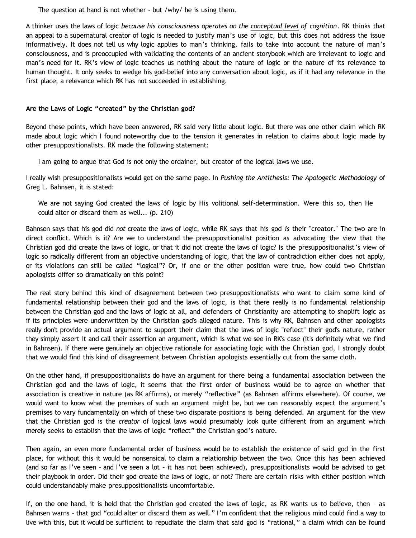The question at hand is not whether - but /why/ he is using them.

A thinker uses the laws of logic *because his consciousness operates on the conceptual level of cognition*. RK thinks that an appeal to a supernatural creator of logic is needed to justify man's use of logic, but this does not address the issue informatively. It does not tell us why logic applies to man's thinking, fails to take into account the nature of man's consciousness, and is preoccupied with validating the contents of an ancient storybook which are irrelevant to logic and man's need for it. RK's view of logic teaches us nothing about the nature of logic or the nature of its relevance to human thought. It only seeks to wedge his god-belief into any conversation about logic, as if it had any relevance in the first place, a relevance which RK has not succeeded in establishing.

# **Are the Laws of Logic "created" by the Christian god?**

Beyond these points, which have been answered, RK said very little about logic. But there was one other claim which RK made about logic which I found noteworthy due to the tension it generates in relation to claims about logic made by other presuppositionalists. RK made the following statement:

I am going to argue that God is not only the ordainer, but creator of the logical laws we use.

I really wish presuppositionalists would get on the same page. In *Pushing the Antithesis: The Apologetic Methodology* of Greg L. Bahnsen, it is stated:

We are not saying God created the laws of logic by His volitional self-determination. Were this so, then He could alter or discard them as well... (p. 210)

Bahnsen says that his god did *not* create the laws of logic, while RK says that his god *is* their "creator." The two are in direct conflict. Which is it? Are we to understand the presuppositionalist position as advocating the view that the Christian god did create the laws of logic, or that it did not create the laws of logic? Is the presuppositionalist's view of logic so radically different from an objective understanding of logic, that the law of contradiction either does not apply, or its violations can still be called "logical"? Or, if one or the other position were true, how could two Christian apologists differ so dramatically on this point?

The real story behind this kind of disagreement between two presuppositionalists who want to claim some kind of fundamental relationship between their god and the laws of logic, is that there really is no fundamental relationship between the Christian god and the laws of logic at all, and defenders of Christianity are attempting to shoplift logic as if its principles were underwritten by the Christian god's alleged nature. This is why RK, Bahnsen and other apologists really don't provide an actual argument to support their claim that the laws of logic "reflect" their god's nature, rather they simply assert it and call their assertion an argument, which is what we see in RK's case (it's definitely what we find in Bahnsen). If there were genuinely an objective rationale for associating logic with the Christian god, I strongly doubt that we would find this kind of disagreement between Christian apologists essentially cut from the same cloth.

On the other hand, if presuppositionalists do have an argument for there being a fundamental association between the Christian god and the laws of logic, it seems that the first order of business would be to agree on whether that association is creative in nature (as RK affirms), or merely "reflective" (as Bahnsen affirms elsewhere). Of course, we would want to know what the premises of such an argument might be, but we can reasonably expect the argument's premises to vary fundamentally on which of these two disparate positions is being defended. An argument for the view that the Christian god is the *creator* of logical laws would presumably look quite different from an argument which merely seeks to establish that the laws of logic "reflect" the Christian god's nature.

Then again, an even more fundamental order of business would be to establish the existence of said god in the first place, for without this it would be nonsensical to claim a relationship between the two. Once this has been achieved (and so far as I've seen – and I've seen a lot – it has not been achieved), presuppositionalists would be advised to get their playbook in order. Did their god create the laws of logic, or not? There are certain risks with either position which could understandably make presuppositionalists uncomfortable.

If, on the one hand, it is held that the Christian god created the laws of logic, as RK wants us to believe, then – as Bahnsen warns – that god "could alter or discard them as well." I'm confident that the religious mind could find a way to live with this, but it would be sufficient to repudiate the claim that said god is "rational," a claim which can be found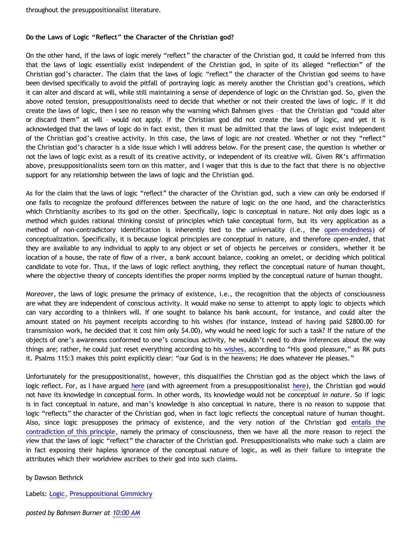# **Do the Laws of Logic "Reflect" the Character of the Christian god?**

On the other hand, if the laws of logic merely "reflect" the character of the Christian god, it could be inferred from this that the laws of logic essentially exist independent of the Christian god, in spite of its alleged "reflection" of the Christian god's character. The claim that the laws of logic "reflect" the character of the Christian god seems to have been devised specifically to avoid the pitfall of portraying logic as merely another the Christian god's creations, which it can alter and discard at will, while still maintaining a sense of dependence of logic on the Christian god. So, given the above noted tension, presuppositionalists need to decide that whether or not their created the laws of logic. If it did create the laws of logic, then I see no reason why the warning which Bahnsen gives – that the Christian god "could alter or discard them" at will – would not apply. If the Christian god did not create the laws of logic, and yet it is acknowledged that the laws of logic do in fact exist, then it must be admitted that the laws of logic exist independent of the Christian god's creative activity. In this case, the laws of logic are *not* created. Whether or not they "reflect" the Christian god's character is a side issue which I will address below. For the present case, the question is whether or not the laws of logic exist as a result of its creative activity, or independent of its creative will. Given RK's affirmation above, presuppositionalists seem torn on this matter, and I wager that this is due to the fact that there is no objective support for any relationship between the laws of logic and the Christian god.

As for the claim that the laws of logic "reflect" the character of the Christian god, such a view can only be endorsed if one fails to recognize the profound differences between the nature of logic on the one hand, and the characteristics which Christianity ascribes to its god on the other. Specifically, logic is conceptual in nature. Not only does logic as a method which guides rational thinking consist of principles which take conceptual form, but its very application as a method of non-contradictory identification is inherently tied to the universality (i.e., the [open-endedness](http://bahnsenburner.blogspot.com/2009/06/demystifying-universality.html)) of conceptualization. Specifically, it is because logical principles are *conceptual* in nature, and therefore *open-ended*, that they are available to any individual to apply to any object or set of objects he perceives or considers, whether it be location of a house, the rate of flow of a river, a bank account balance, cooking an omelet, or deciding which political candidate to vote for. Thus, if the laws of logic reflect anything, they reflect the conceptual nature of human thought, where the objective theory of concepts identifies the proper norms implied by the conceptual nature of human thought.

Moreover, the laws of logic presume the primacy of existence, i.e., the recognition that the objects of consciousness are what they are independent of conscious activity. It would make no sense to attempt to apply logic to objects which can vary according to a thinkers will. If one sought to balance his bank account, for instance, and could alter the amount stated on his payment receipts according to his wishes (for instance, instead of having paid \$2800.00 for transmission work, he decided that it cost him only \$4.00), why would he need logic for such a task? If the nature of the objects of one's awareness conformed to one's conscious activity, he wouldn't need to draw inferences about the way things are; rather, he could just reset everything according to his [wishes](http://bahnsenburner.blogspot.com/2006/12/wishing-and-christian-deity.html), according to "His good pleasure," as RK puts it. Psalms 115:3 makes this point explicitly clear: "our God is in the heavens; He does whatever He pleases."

Unfortunately for the presuppositionalist, however, this disqualifies the Christian god as the object which the laws of logic reflect. For, as I have argued [here](http://bahnsenburner.blogspot.com/2007/04/would-omniscient-mind-have-knowledge-in.html) (and with agreement from a presuppositionalist [here\)](http://bahnsenburner.blogspot.com/2007/04/pike-on-concepts-and-omniscience.html), the Christian god would not have its knowledge in conceptual form. In other words, its knowledge would not be *conceptual in nature*. So if logic is in fact conceptual in nature, and man's knowledge is also conceptual in nature, there is no reason to suppose that logic "reflects" the character of the Christian god, when in fact logic reflects the conceptual nature of human thought. Also, since logic presupposes the primacy of existence, and the very notion of the Christian god [entails the](http://bahnsenburner.blogspot.com/2008/12/inherent-subjectivism-of-god-belief.html) [contradiction of this principle](http://bahnsenburner.blogspot.com/2008/12/inherent-subjectivism-of-god-belief.html), namely the primacy of consciousness, then we have all the more reason to reject the view that the laws of logic "reflect" the character of the Christian god. Presuppositionalists who make such a claim are in fact exposing their hapless ignorance of the conceptual nature of logic, as well as their failure to integrate the attributes which their worldview ascribes to their god into such claims.

#### by Dawson Bethrick

Labels: [Logic](http://bahnsenburner.blogspot.com/search/label/Logic), [Presuppositional Gimmickry](http://bahnsenburner.blogspot.com/search/label/Presuppositional%20Gimmickry)